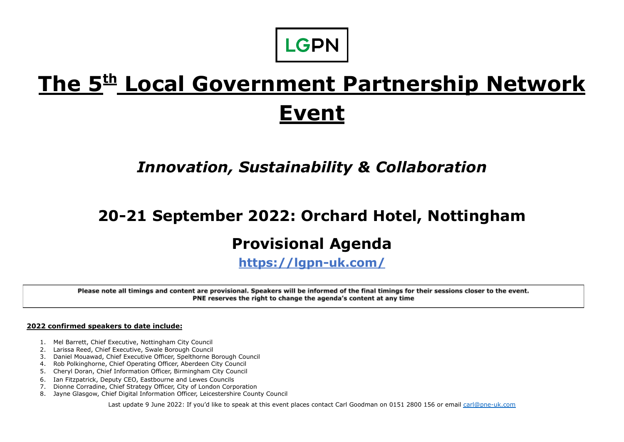

## **The 5 th Local Government Partnership Network Event**

## *Innovation, Sustainability & Collaboration*

# **20-21 September 2022: Orchard Hotel, Nottingham**

### **Provisional Agenda**

**<https://lgpn-uk.com/>**

Please note all timings and content are provisional. Speakers will be informed of the final timings for their sessions closer to the event. PNE reserves the right to change the agenda's content at any time

**2022 confirmed speakers to date include:**

- 1. Mel Barrett, Chief Executive, Nottingham City Council
- 2. Larissa Reed, Chief Executive, Swale Borough Council
- 3. Daniel Mouawad, Chief Executive Officer, Spelthorne Borough Council
- 4. Rob Polkinghorne, Chief Operating Officer, Aberdeen City Council
- 5. Cheryl Doran, Chief Information Officer, Birmingham City Council
- 6. Ian Fitzpatrick, Deputy CEO, Eastbourne and Lewes Councils
- 7. Dionne Corradine, Chief Strategy Officer, City of London Corporation
- 8. Jayne Glasgow, Chief Digital Information Officer, Leicestershire County Council

Last update 9 June 2022: If you'd like to speak at this event places contact Carl Goodman on 0151 2800 156 or email [carl@pne-uk.com](mailto:carl@pne-uk.com)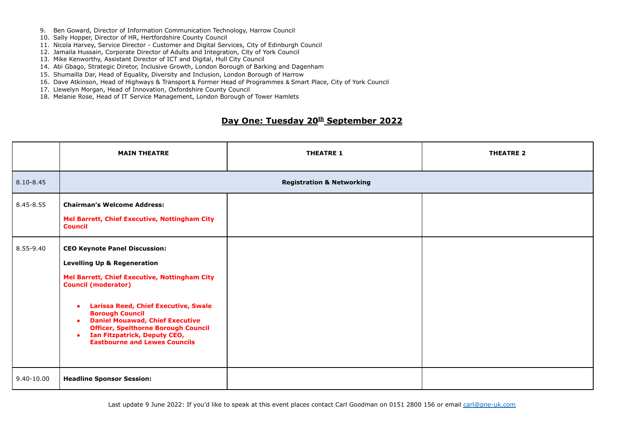- 9. Ben Goward, Director of Information Communication Technology, Harrow Council
- 10. Sally Hopper, Director of HR, Hertfordshire County Council
- 11. Nicola Harvey, Service Director Customer and Digital Services, City of Edinburgh Council
- 12. Jamaila Hussain, Corporate Director of Adults and Integration, City of York Council
- 13. Mike Kenworthy, Assistant Director of ICT and Digital, Hull City Council
- 14. Abi Gbago, Strategic Diretor, Inclusive Growth, London Borough of Barking and Dagenham
- 15. Shumailla Dar, Head of Equality, Diversity and Inclusion, London Borough of Harrow
- 16. Dave Atkinson, Head of Highways & Transport & Former Head of Programmes & Smart Place, City of York Council
- 17. Llewelyn Morgan, Head of Innovation, Oxfordshire County Council
- 18. Melanie Rose, Head of IT Service Management, London Borough of Tower Hamlets

#### **Day One: Tuesday 20 th September 2022**

|            | <b>MAIN THEATRE</b>                                                                                                                                                                                                                                                                                                                                                                                                                           | <b>THEATRE 1</b> | <b>THEATRE 2</b> |
|------------|-----------------------------------------------------------------------------------------------------------------------------------------------------------------------------------------------------------------------------------------------------------------------------------------------------------------------------------------------------------------------------------------------------------------------------------------------|------------------|------------------|
| 8.10-8.45  | <b>Registration &amp; Networking</b>                                                                                                                                                                                                                                                                                                                                                                                                          |                  |                  |
| 8.45-8.55  | <b>Chairman's Welcome Address:</b><br>Mel Barrett, Chief Executive, Nottingham City<br><b>Council</b>                                                                                                                                                                                                                                                                                                                                         |                  |                  |
| 8.55-9.40  | <b>CEO Keynote Panel Discussion:</b><br><b>Levelling Up &amp; Regeneration</b><br>Mel Barrett, Chief Executive, Nottingham City<br><b>Council (moderator)</b><br><b>Larissa Reed, Chief Executive, Swale</b><br>$\bullet$<br><b>Borough Council</b><br><b>Daniel Mouawad, Chief Executive</b><br>$\bullet$<br><b>Officer, Spelthorne Borough Council</b><br>Ian Fitzpatrick, Deputy CEO,<br>$\bullet$<br><b>Eastbourne and Lewes Councils</b> |                  |                  |
| 9.40-10.00 | <b>Headline Sponsor Session:</b>                                                                                                                                                                                                                                                                                                                                                                                                              |                  |                  |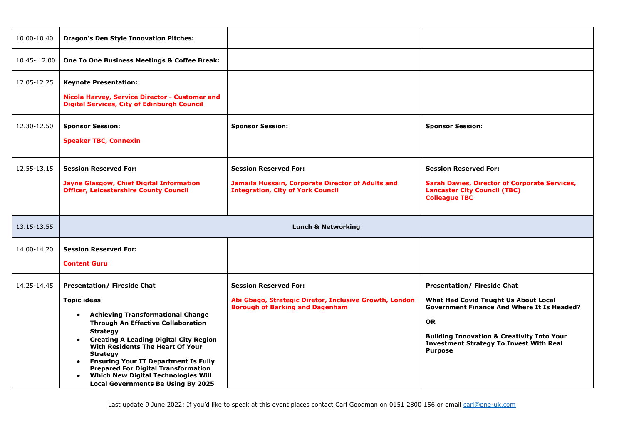| 10.00-10.40                | <b>Dragon's Den Style Innovation Pitches:</b>                                                                                                                                                                                                                                                                                                                                                                                                                                                               |                                                                                                                                  |                                                                                                                                                                                                                                                                           |
|----------------------------|-------------------------------------------------------------------------------------------------------------------------------------------------------------------------------------------------------------------------------------------------------------------------------------------------------------------------------------------------------------------------------------------------------------------------------------------------------------------------------------------------------------|----------------------------------------------------------------------------------------------------------------------------------|---------------------------------------------------------------------------------------------------------------------------------------------------------------------------------------------------------------------------------------------------------------------------|
| 10.45-12.00                | One To One Business Meetings & Coffee Break:                                                                                                                                                                                                                                                                                                                                                                                                                                                                |                                                                                                                                  |                                                                                                                                                                                                                                                                           |
| 12.05-12.25<br>12.30-12.50 | <b>Keynote Presentation:</b><br>Nicola Harvey, Service Director - Customer and<br><b>Digital Services, City of Edinburgh Council</b><br><b>Sponsor Session:</b><br><b>Speaker TBC, Connexin</b>                                                                                                                                                                                                                                                                                                             | <b>Sponsor Session:</b>                                                                                                          | <b>Sponsor Session:</b>                                                                                                                                                                                                                                                   |
| 12.55-13.15                | <b>Session Reserved For:</b><br><b>Jayne Glasgow, Chief Digital Information</b><br><b>Officer, Leicestershire County Council</b>                                                                                                                                                                                                                                                                                                                                                                            | <b>Session Reserved For:</b><br>Jamaila Hussain, Corporate Director of Adults and<br><b>Integration, City of York Council</b>    | <b>Session Reserved For:</b><br><b>Sarah Davies, Director of Corporate Services,</b><br><b>Lancaster City Council (TBC)</b><br><b>Colleague TBC</b>                                                                                                                       |
| 13.15-13.55                | <b>Lunch &amp; Networking</b>                                                                                                                                                                                                                                                                                                                                                                                                                                                                               |                                                                                                                                  |                                                                                                                                                                                                                                                                           |
| 14.00-14.20                | <b>Session Reserved For:</b><br><b>Content Guru</b>                                                                                                                                                                                                                                                                                                                                                                                                                                                         |                                                                                                                                  |                                                                                                                                                                                                                                                                           |
| 14.25-14.45                | <b>Presentation/ Fireside Chat</b><br><b>Topic ideas</b><br><b>Achieving Transformational Change</b><br>$\bullet$<br><b>Through An Effective Collaboration</b><br><b>Strategy</b><br><b>Creating A Leading Digital City Region</b><br>$\bullet$<br>With Residents The Heart Of Your<br><b>Strategy</b><br><b>Ensuring Your IT Department Is Fully</b><br>$\bullet$<br><b>Prepared For Digital Transformation</b><br><b>Which New Digital Technologies Will</b><br><b>Local Governments Be Using By 2025</b> | <b>Session Reserved For:</b><br>Abi Gbago, Strategic Diretor, Inclusive Growth, London<br><b>Borough of Barking and Dagenham</b> | <b>Presentation/ Fireside Chat</b><br>What Had Covid Taught Us About Local<br><b>Government Finance And Where It Is Headed?</b><br><b>OR</b><br><b>Building Innovation &amp; Creativity Into Your</b><br><b>Investment Strategy To Invest With Real</b><br><b>Purpose</b> |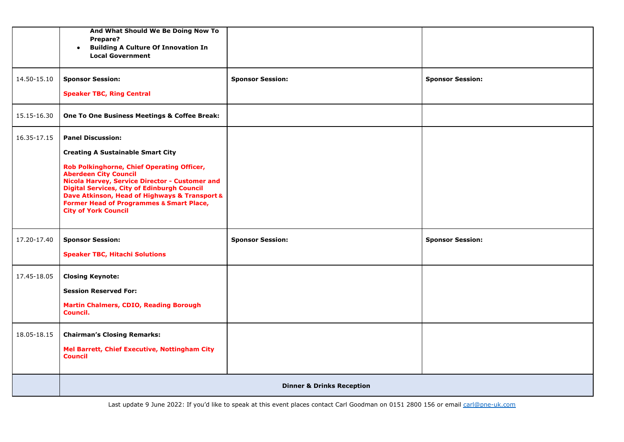|             | And What Should We Be Doing Now To<br>Prepare?<br><b>Building A Culture Of Innovation In</b><br>$\bullet$<br><b>Local Government</b>                                                                                                                                                                                      |                         |                         |
|-------------|---------------------------------------------------------------------------------------------------------------------------------------------------------------------------------------------------------------------------------------------------------------------------------------------------------------------------|-------------------------|-------------------------|
| 14.50-15.10 | <b>Sponsor Session:</b>                                                                                                                                                                                                                                                                                                   | <b>Sponsor Session:</b> | <b>Sponsor Session:</b> |
|             | <b>Speaker TBC, Ring Central</b>                                                                                                                                                                                                                                                                                          |                         |                         |
| 15.15-16.30 | One To One Business Meetings & Coffee Break:                                                                                                                                                                                                                                                                              |                         |                         |
| 16.35-17.15 | <b>Panel Discussion:</b>                                                                                                                                                                                                                                                                                                  |                         |                         |
|             | <b>Creating A Sustainable Smart City</b>                                                                                                                                                                                                                                                                                  |                         |                         |
|             | Rob Polkinghorne, Chief Operating Officer,<br><b>Aberdeen City Council</b><br>Nicola Harvey, Service Director - Customer and<br><b>Digital Services, City of Edinburgh Council</b><br>Dave Atkinson, Head of Highways & Transport &<br><b>Former Head of Programmes &amp; Smart Place,</b><br><b>City of York Council</b> |                         |                         |
| 17.20-17.40 | <b>Sponsor Session:</b>                                                                                                                                                                                                                                                                                                   | <b>Sponsor Session:</b> | <b>Sponsor Session:</b> |
|             | <b>Speaker TBC, Hitachi Solutions</b>                                                                                                                                                                                                                                                                                     |                         |                         |
| 17.45-18.05 | <b>Closing Keynote:</b>                                                                                                                                                                                                                                                                                                   |                         |                         |
|             | <b>Session Reserved For:</b>                                                                                                                                                                                                                                                                                              |                         |                         |
|             | <b>Martin Chalmers, CDIO, Reading Borough</b><br>Council.                                                                                                                                                                                                                                                                 |                         |                         |
| 18.05-18.15 | <b>Chairman's Closing Remarks:</b>                                                                                                                                                                                                                                                                                        |                         |                         |
|             | Mel Barrett, Chief Executive, Nottingham City<br><b>Council</b>                                                                                                                                                                                                                                                           |                         |                         |
|             | <b>Dinner &amp; Drinks Reception</b>                                                                                                                                                                                                                                                                                      |                         |                         |

Last update 9 June 2022: If you'd like to speak at this event places contact Carl Goodman on 0151 2800 156 or email [carl@pne-uk.com](mailto:carl@pne-uk.com)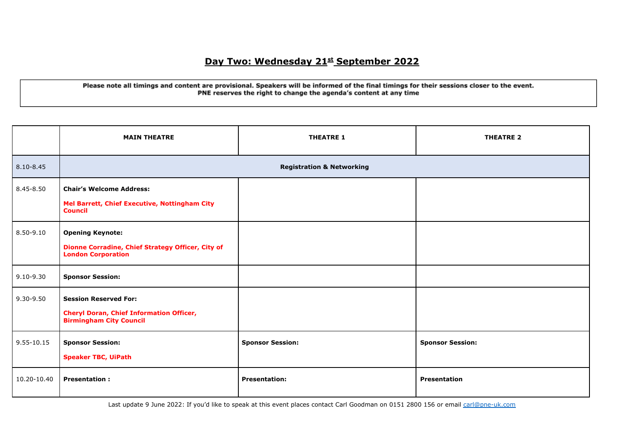### **Day Two: Wednesday 21st September 2022**

#### Please note all timings and content are provisional. Speakers will be informed of the final timings for their sessions closer to the event. PNE reserves the right to change the agenda's content at any time

|               | <b>MAIN THEATRE</b>                                                                                               | <b>THEATRE 1</b>        | <b>THEATRE 2</b>        |
|---------------|-------------------------------------------------------------------------------------------------------------------|-------------------------|-------------------------|
| $8.10 - 8.45$ | <b>Registration &amp; Networking</b>                                                                              |                         |                         |
| 8.45-8.50     | <b>Chair's Welcome Address:</b><br>Mel Barrett, Chief Executive, Nottingham City<br><b>Council</b>                |                         |                         |
| 8.50-9.10     | <b>Opening Keynote:</b><br>Dionne Corradine, Chief Strategy Officer, City of<br><b>London Corporation</b>         |                         |                         |
| $9.10 - 9.30$ | <b>Sponsor Session:</b>                                                                                           |                         |                         |
| $9.30 - 9.50$ | <b>Session Reserved For:</b><br><b>Cheryl Doran, Chief Information Officer,</b><br><b>Birmingham City Council</b> |                         |                         |
| 9.55-10.15    | <b>Sponsor Session:</b><br><b>Speaker TBC, UiPath</b>                                                             | <b>Sponsor Session:</b> | <b>Sponsor Session:</b> |
| 10.20-10.40   | <b>Presentation:</b>                                                                                              | <b>Presentation:</b>    | <b>Presentation</b>     |

Last update 9 June 2022: If you'd like to speak at this event places contact Carl Goodman on 0151 2800 156 or email [carl@pne-uk.com](mailto:carl@pne-uk.com)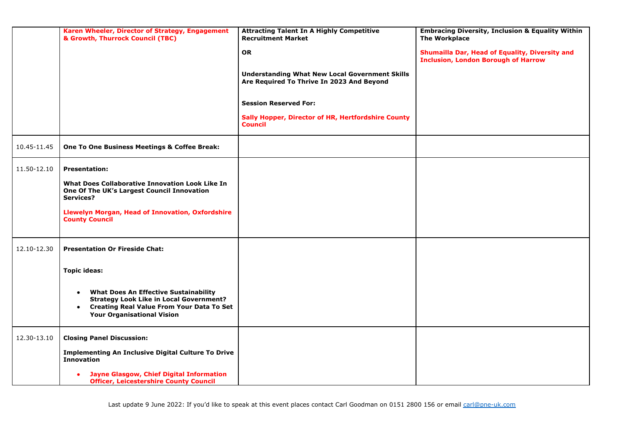|             | Karen Wheeler, Director of Strategy, Engagement<br>& Growth, Thurrock Council (TBC)                                                                                                             | <b>Attracting Talent In A Highly Competitive</b><br><b>Recruitment Market</b>                      | <b>Embracing Diversity, Inclusion &amp; Equality Within</b><br><b>The Workplace</b>          |
|-------------|-------------------------------------------------------------------------------------------------------------------------------------------------------------------------------------------------|----------------------------------------------------------------------------------------------------|----------------------------------------------------------------------------------------------|
|             |                                                                                                                                                                                                 | <b>OR</b>                                                                                          | Shumailla Dar, Head of Equality, Diversity and<br><b>Inclusion, London Borough of Harrow</b> |
|             |                                                                                                                                                                                                 | <b>Understanding What New Local Government Skills</b><br>Are Required To Thrive In 2023 And Beyond |                                                                                              |
|             |                                                                                                                                                                                                 | <b>Session Reserved For:</b>                                                                       |                                                                                              |
|             |                                                                                                                                                                                                 | Sally Hopper, Director of HR, Hertfordshire County<br><b>Council</b>                               |                                                                                              |
| 10.45-11.45 | One To One Business Meetings & Coffee Break:                                                                                                                                                    |                                                                                                    |                                                                                              |
| 11.50-12.10 | <b>Presentation:</b>                                                                                                                                                                            |                                                                                                    |                                                                                              |
|             | What Does Collaborative Innovation Look Like In<br>One Of The UK's Largest Council Innovation<br>Services?                                                                                      |                                                                                                    |                                                                                              |
|             | <b>Llewelyn Morgan, Head of Innovation, Oxfordshire</b><br><b>County Council</b>                                                                                                                |                                                                                                    |                                                                                              |
| 12.10-12.30 | <b>Presentation Or Fireside Chat:</b>                                                                                                                                                           |                                                                                                    |                                                                                              |
|             | <b>Topic ideas:</b>                                                                                                                                                                             |                                                                                                    |                                                                                              |
|             | <b>What Does An Effective Sustainability</b><br>$\bullet$<br><b>Strategy Look Like in Local Government?</b><br>• Creating Real Value From Your Data To Set<br><b>Your Organisational Vision</b> |                                                                                                    |                                                                                              |
| 12.30-13.10 | <b>Closing Panel Discussion:</b>                                                                                                                                                                |                                                                                                    |                                                                                              |
|             | <b>Implementing An Inclusive Digital Culture To Drive</b><br><b>Innovation</b>                                                                                                                  |                                                                                                    |                                                                                              |
|             | <b>Jayne Glasgow, Chief Digital Information</b><br><b>Officer, Leicestershire County Council</b>                                                                                                |                                                                                                    |                                                                                              |